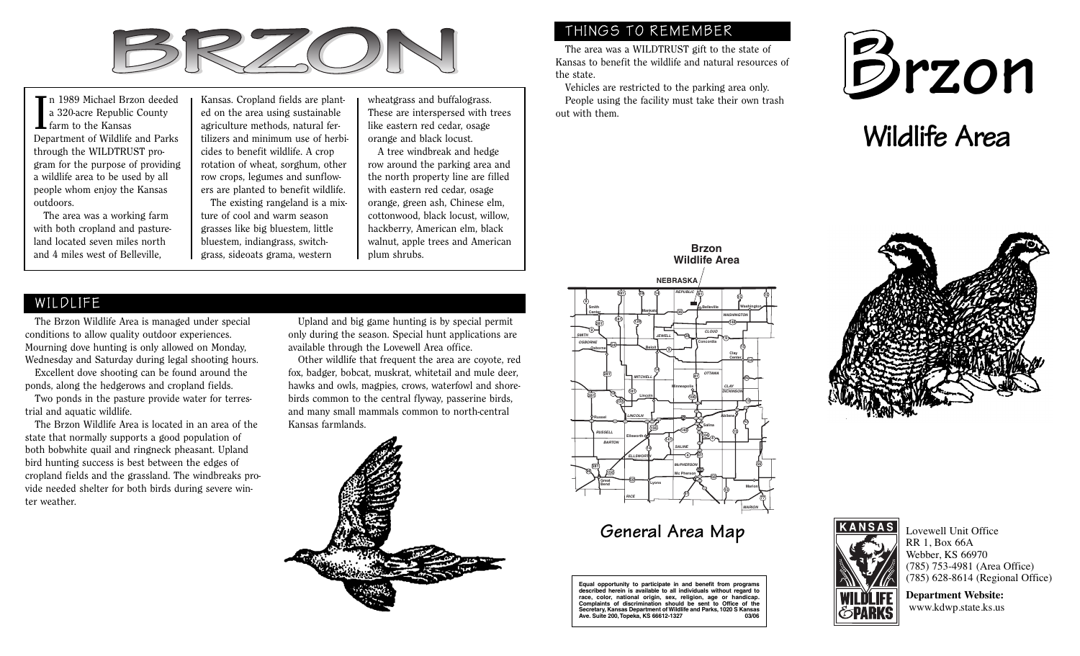

In 1989 Michael Brzon deeded<br>a 320-acre Republic County<br>farm to the Kansas Department of Wildlife and Parks through the WILDTRUST program for the purpose of providing a wildlife area to be used by all people whom enjoy the Kansas outdoors.

The area was a working farm with both cropland and pastureland located seven miles north and 4 miles west of Belleville,

Kansas. Cropland fields are planted on the area using sustainable agriculture methods, natural fertilizers and minimum use of herbicides to benefit wildlife. A crop rotation of wheat, sorghum, other row crops, legumes and sunflowers are planted to benefit wildlife. The existing rangeland is a mixture of cool and warm season

grasses like big bluestem, little bluestem, indiangrass, switchgrass, sideoats grama, western

wheatgrass and buffalograss. These are interspersed with trees like eastern red cedar, osage orange and black locust.

A tree windbreak and hedge row around the parking area and the north property line are filled with eastern red cedar, osage orange, green ash, Chinese elm, cottonwood, black locust, willow, hackberry, American elm, black walnut, apple trees and American plum shrubs.

### WILDLIFE

The Brzon Wildlife Area is managed under special conditions to allow quality outdoor experiences. Mourning dove hunting is only allowed on Monday, Wednesday and Saturday during legal shooting hours.

Excellent dove shooting can be found around the ponds, along the hedgerows and cropland fields.

Two ponds in the pasture provide water for terrestrial and aquatic wildlife.

The Brzon Wildlife Area is located in an area of the state that normally supports a good population of both bobwhite quail and ringneck pheasant. Upland bird hunting success is best between the edges of cropland fields and the grassland. The windbreaks provide needed shelter for both birds during severe winter weather.

Upland and big game hunting is by special permit only during the season. Special hunt applications are available through the Lovewell Area office.

Other wildlife that frequent the area are coyote, red fox, badger, bobcat, muskrat, whitetail and mule deer, hawks and owls, magpies, crows, waterfowl and shorebirds common to the central flyway, passerine birds, and many small mammals common to north-central Kansas farmlands.



## THINGS TO REMEMBER

The area was a WILDTRUST gift to the state of Kansas to benefit the wildlife and natural resources of the state.

Vehicles are restricted to the parking area only. People using the facility must take their own trash out with them.



# **Wildlife Area**

#### **Brzon Wildlife Area**





# **General Area Map**

**Equal opportunity to participate in and benefit from programs described herein is available to all individuals without regard to race, color, national origin, sex, religion, age or handicap. Complaints of discrimination should be sent to Office of the Secretary, Kansas Department of Wildlife and Parks, 1020 S Kansas Ave. Suite 200,Topeka, KS 66612-1327 03/06**





Lovewell Unit Office RR 1, Box 66A Webber, KS 66970 (785) 753-4981 (Area Office) (785) 628-8614 (Regional Office)

**Department Website:** www.kdwp.state.ks.us